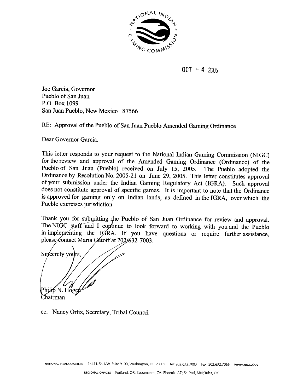

 $0CT - 42005$ 

Joe Garcia, Governor Pueblo of San Juan **P.O.** Box 1099 **San** Juan Pueblo, New Mexico 87566

RE: Approval of the Pueblo of San Juan Pueblo Amended Gaming Ordinance

Dear Governor Garcia:

This letter responds to your request to the National Indian Gaming Commission (NIGC) for the review and approval of the Amended Gaming Ordinance (Ordinance) of the Pueblo of San Juan (Pueblo) received on July 15, 2005. The Pueblo adopted the Ordinance by Resolution No. 2005-21 on June 29, 2005. This letter constitutes approval of your submission under the Indian Gaming Regulatory Act (IGRA). Such approval does not constitute approval of specific games. It is important to note that the Ordinance is approved for gaming only on Indian lands, as defined in the IGRA, over which the Pueblo exercises jurisdiction.

Thank you for submitting the Pueblo of San Juan Ordinance for review and approval. The NIGC staff and I continue to look forward to working with you and the Pueblo in implementing the IGRA. If you have questions or require further assistance, please contact Maria Getoff at 2026632-7003.

Sincerely yours. lip N. Hogen Chairman

cc: Nancy Ortiz, Secretary, Tribal Council

**NATIONAL HEADQUARTERS 1441 L** St. NW, Suite 9100. Washington. DC 20005 Tel: 202.632.7003 **Fax:** 202.632.7066 **wwW.~tcC.cOV**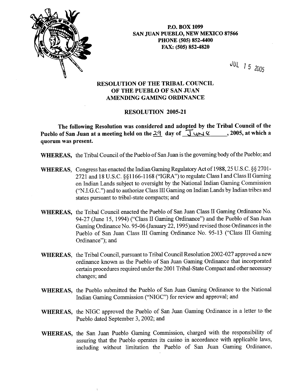

**P.O. BOX 1099 SAN JUAN PUEBLO, NEW MEXICO 87566 PHONE (505) 852-4400 FAX: (505) 852-4820** 

JUL 15 2005

## **RESOLUTION OF THE TRIBAL COUNCIL OF THE PUEBLO OF SAN JUAN AMENDING GAMING ORDINANCE**

## **RESOLUTION 2005-21**

The following Resolution was considered and adopted by the Tribal Council of the **Pueblo of San Juan at a meeting held on the**  $24$  **day of**  $\overline{J}$  $\overline{U}$  $\overline{V}$  $\overline{C}$  $\overline{C}$  $\overline{C}$  $\overline{C}$  $\overline{C}$  $\overline{C}$  $\overline{C}$  $\overline{C}$  $\overline{C}$  $\overline{C}$  $\overline{C}$  $\overline{C}$  $\overline{C}$  $\overline{C}$  $\overline{C}$  **\ quorum was present.** 

**WHEREAS,** the Tribal Council of the Pueblo of San Juan is the governing body of the Pueblo; and

- **WHEREAS,** Congress has enacted the Indian Gaming Regulatory Act of 1988,25 U.S.C. §§ 2701- 2721 and 18 U.S.C. \$81 166-1 168 ("IGRA") to regulate Class I and Class I1 Gaming on Indian Lands subject to oversight by the National Indian Gaming Commission ("N.I.G.C.") and to authorize Class I11 Gaming on Indian Lands by Indian tribes and states pursuant to tribal-state compacts; and
- **WHEREAS,** the Tribal Council enacted the Pueblo of San Juan Class **I1** Gaming Ordinance No. 94-27 (June 15, 1994) ("Class I1 Gaming Ordinance") and the Pueblo of San Juan Gaming Ordinance No. 95-06 (January 22,1995)and revised those Ordinances in the Pueblo of **San** Juan Class I11 Gaming Ordinance No. 95-13 ("Class I11 Gaming Ordinance"); and
- **WHEREAS,** the Tribal Council, pursuant to Tribal Council Resolution 2002-027 approved a new ordinance known as the Pueblo of San Juan Gaming Ordinance that incorporated certain procedures required under the 2001 Tribal-State Compact and other necessary changes; and
- **WHEREAS,** the Pueblo submitted the Pueblo of San Juan Gaming Ordinance to the National Indian Gaming Commission ("NIGC") for review and approval; and
- **WHEREAS,** the NIGC approved the Pueblo of San Juan Gaming Ordinance in a letter to the Pueblo dated September 3,2002; and
- **WHEREAS,** the San Juan Pueblo Gaming Commission, charged with the responsibility of assuring that the Pueblo operates its casino in accordance with applicable laws, including without limitation the Pueblo of San Juan Gaming Ordinance,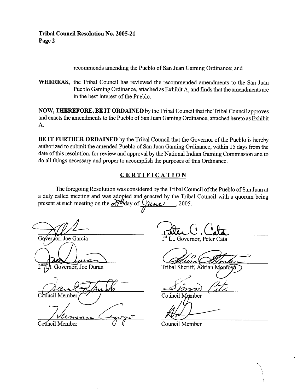## **Tribal Council Resolution No. 2005-21 Page 2**

recommends amending the Pueblo of San Juan Gaming Ordinance; and

**WHEREAS,** the Tribal Council has reviewed the recommended amendments to the San Juan Pueblo Gaming Ordinance, attached as Exhibit A, and finds that the amendments are in the best interest of the Pueblo.

**NOW, THEREFORE, BE IT ORDAINED** by the Tribal Council that the Tribal Council approves and enacts the amendments to the Pueblo of San Juan Gaming Ordinance, attached hereto as Exhibit A.

**BE IT FURTHER ORDAINED** by the Tribal Council that the Governor of the Pueblo is hereby authorized to submit the amended Pueblo of San Juan Gaming Ordinance, within 15 days from the date of this resolution, for review and approval by the National Indian Gaming Commission and to do all things necessary and proper to accomplish the purposes of this Ordinance.

## **CERTIFICATION**

The foregoing Resolution was considered by the Tribal Council of the Pueblo of San Juan at a duly called meeting and was adopted and gnacted by the Tribal Council with a quorum being present at such meeting on the  $\frac{\partial \mathcal{H}}{\partial \mathbf{A}}$  day of  $\mathcal{Q}_{\mu \mu \nu}$ , 2005.

Governor, Joe Garcia

Governor, Joe Duran

uncil Member

Council Member

1<sup>st</sup> Lt. Governor, Peter Cata

Comment<br>
Fribal Sheriff, Adrian Montoya<br> *Monto*<br>
Council Momber

Council Member